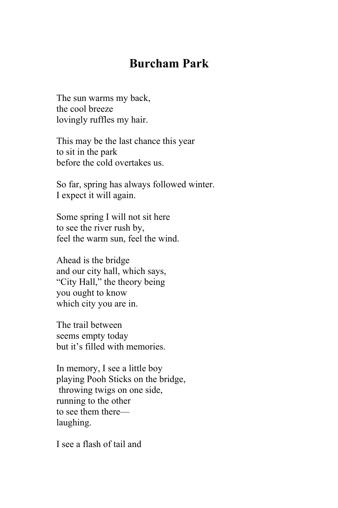## **Burcham Park**

The sun warms my back, the cool breeze lovingly ruffles my hair.

This may be the last chance this year to sit in the park before the cold overtakes us.

So far, spring has always followed winter. I expect it will again.

Some spring I will not sit here to see the river rush by, feel the warm sun, feel the wind.

Ahead is the bridge and our city hall, which says, "City Hall," the theory being you ought to know which city you are in.

The trail between seems empty today but it's filled with memories.

In memory, I see a little boy playing Pooh Sticks on the bridge, throwing twigs on one side, running to the other to see them there laughing.

I see a flash of tail and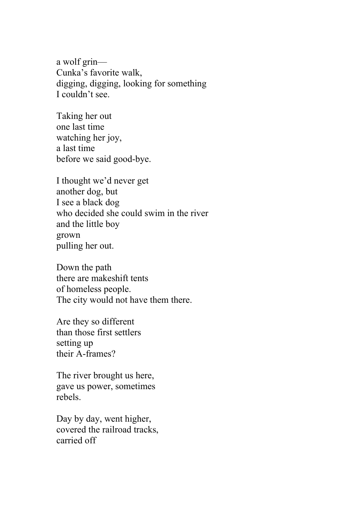a wolf grin— Cunka's favorite walk, digging, digging, looking for something I couldn't see.

Taking her out one last time watching her joy, a last time before we said good-bye.

I thought we'd never get another dog, but I see a black dog who decided she could swim in the river and the little boy grown pulling her out.

Down the path there are makeshift tents of homeless people. The city would not have them there.

Are they so different than those first settlers setting up their A-frames?

The river brought us here, gave us power, sometimes rebels.

Day by day, went higher, covered the railroad tracks, carried off